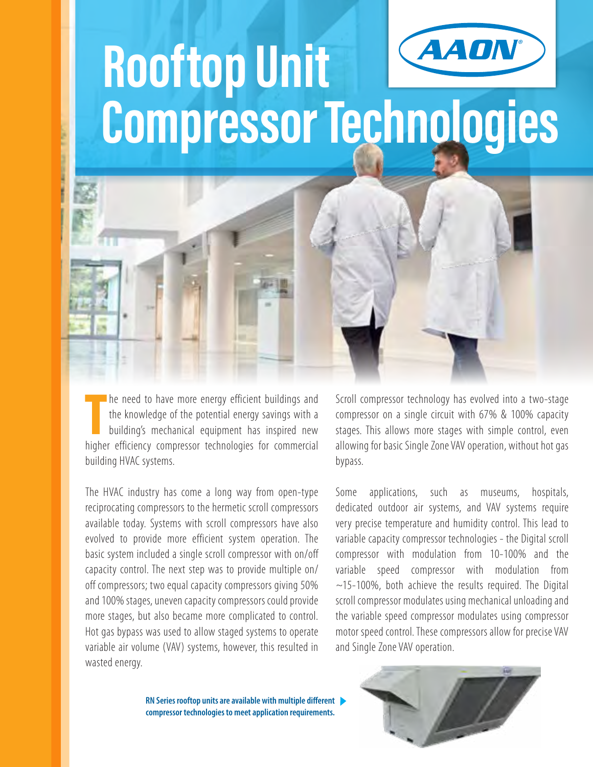

# **Rooftop Unit Compressor Technologies**

The need to have more energy efficient buildings and the knowledge of the potential energy savings with a building's mechanical equipment has inspired new higher efficiency compressor technologies for commercial he need to have more energy efficient buildings and the knowledge of the potential energy savings with a building's mechanical equipment has inspired new building HVAC systems.

The HVAC industry has come a long way from open-type reciprocating compressors to the hermetic scroll compressors available today. Systems with scroll compressors have also evolved to provide more efficient system operation. The basic system included a single scroll compressor with on/off capacity control. The next step was to provide multiple on/ off compressors; two equal capacity compressors giving 50% and 100% stages, uneven capacity compressors could provide more stages, but also became more complicated to control. Hot gas bypass was used to allow staged systems to operate variable air volume (VAV) systems, however, this resulted in wasted energy.

Scroll compressor technology has evolved into a two-stage compressor on a single circuit with 67% & 100% capacity stages. This allows more stages with simple control, even allowing for basic Single Zone VAV operation, without hot gas bypass.

Some applications, such as museums, hospitals, dedicated outdoor air systems, and VAV systems require very precise temperature and humidity control. This lead to variable capacity compressor technologies - the Digital scroll compressor with modulation from 10-100% and the variable speed compressor with modulation from ~15-100%, both achieve the results required. The Digital scroll compressor modulates using mechanical unloading and the variable speed compressor modulates using compressor motor speed control. These compressors allow for precise VAV and Single Zone VAV operation.

**RN Series rooftop units are available with multiple different compressor technologies to meet application requirements.**

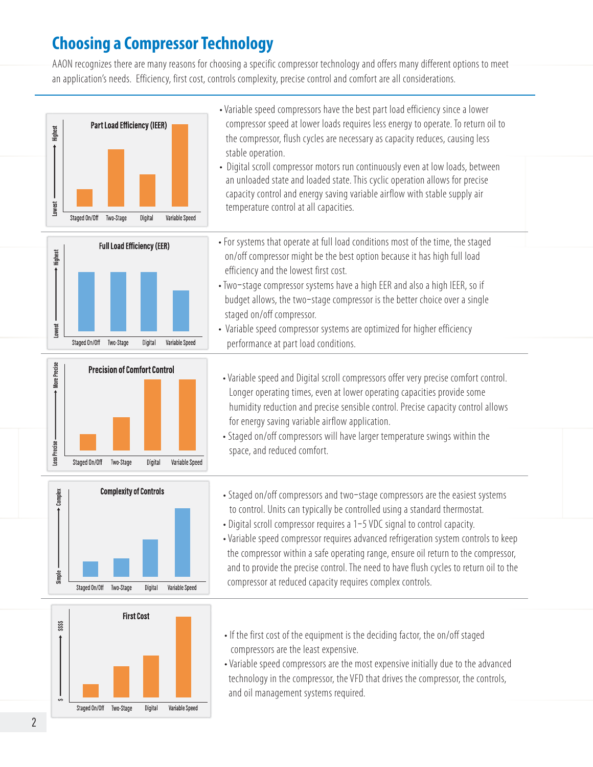## **Choosing a Compressor Technology**

AAON recognizes there are many reasons for choosing a specific compressor technology and offers many different options to meet an application's needs. Efficiency, first cost, controls complexity, precise control and comfort are all considerations.







- to control. Units can typically be controlled using a standard thermostat.
- Digital scroll compressor requires a 1-5 VDC signal to control capacity.
- Variable speed compressor requires advanced refrigeration system controls to keep the compressor within a safe operating range, ensure oil return to the compressor, and to provide the precise control. The need to have flush cycles to return oil to the compressor at reduced capacity requires complex controls.
- If the first cost of the equipment is the deciding factor, the on/off staged compressors are the least expensive.
- Variable speed compressors are the most expensive initially due to the advanced technology in the compressor, the VFD that drives the compressor, the controls, and oil management systems required.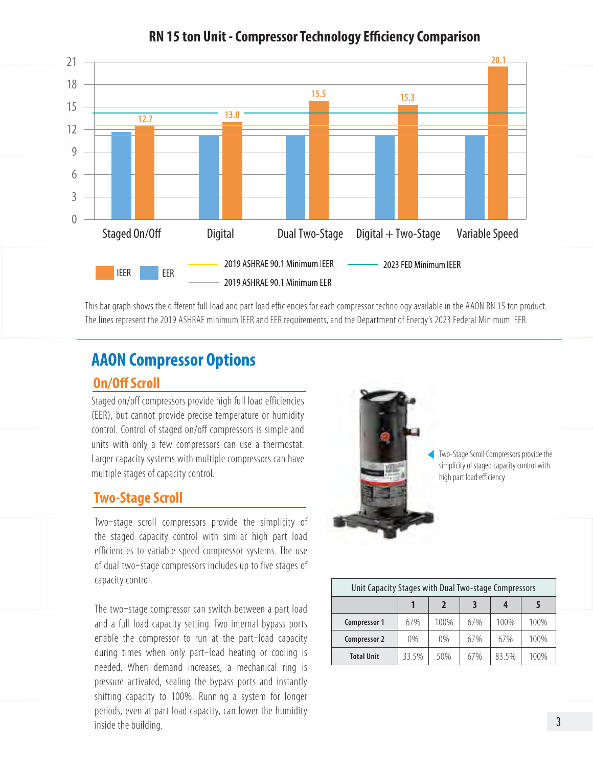

### **RN 15 ton Unit - Compressor Technology Efficiency Comparison**

This bar graph shows the different full load and part load efficiencies for each compressor technology available in the AAON RN 15 ton product. The lines represent the 2019 ASHRAE minimum IEER and EER requirements, and the Department of Energy's 2023 Federal Minimum IEER.

# **AAON Compressor Options**

### **On/Off Scroll**

Staged on/off compressors provide high full load efficiencies (EER), but cannot provide precise temperature or humidity control. Control of staged on/off compressors is simple and units with only a few compressors can use a thermostat. Larger capacity systems with multiple compressors can have multiple stages of capacity control.

### **Two-Stage Scroll**

Two-stage scroll compressors provide the simplicity of the staged capacity control with similar high part load efficiencies to variable speed compressor systems. The use of dual two-stage compressors includes up to five stages of capacity control.

The two-stage compressor can switch between a part load and a full load capacity setting. Two internal bypass ports enable the compressor to run at the part-load capacity during times when only part-load heating or cooling is needed. When demand increases, a mechanical ring is pressure activated, sealing the bypass ports and instantly shifting capacity to 100%. Running a system for longer periods, even at part load capacity, can lower the humidity inside the building.



Two-Stage Scroll Compressors provide the simplicity of staged capacity control with high part load efficiency

| Unit Capacity Stages with Dual Two-stage Compressors |       |       |     |       |      |
|------------------------------------------------------|-------|-------|-----|-------|------|
|                                                      |       | 2     |     |       |      |
| Compressor 1                                         | 67%   | 100%  | 67% | 100%  | 100% |
| Compressor 2                                         | 0%    | $0\%$ | 67% | 67%   | 100% |
| <b>Total Unit</b>                                    | 33.5% | 50%   | 67% | 83.5% | 100% |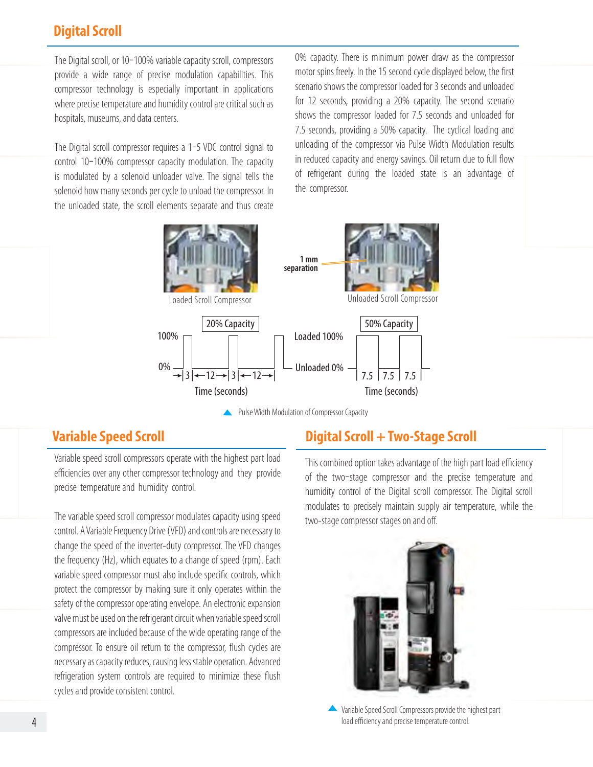### **Digital Scroll**

The Digital scroll, or 10-100% variable capacity scroll, compressors provide a wide range of precise modulation capabilities. This compressor technology is especially important in applications where precise temperature and humidity control are critical such as hospitals, museums, and data centers.

The Digital scroll compressor requires a 1-5 VDC control signal to control 10-100% compressor capacity modulation. The capacity is modulated by a solenoid unloader valve. The signal tells the solenoid how many seconds per cycle to unload the compressor. In the unloaded state, the scroll elements separate and thus create

0% capacity. There is minimum power draw as the compressor motor spins freely. In the 15 second cycle displayed below, the first scenario shows the compressor loaded for 3 seconds and unloaded for 12 seconds, providing a 20% capacity. The second scenario shows the compressor loaded for 7.5 seconds and unloaded for 7.5 seconds, providing a 50% capacity. The cyclical loading and unloading of the compressor via Pulse Width Modulation results in reduced capacity and energy savings. Oil return due to full flow of refrigerant during the loaded state is an advantage of the compressor.



Pulse Width Modulation of Compressor Capacity

### **Variable Speed Scroll**

Variable speed scroll compressors operate with the highest part load efficiencies over any other compressor technology and they provide precise temperature and humidity control.

The variable speed scroll compressor modulates capacity using speed control. A Variable Frequency Drive (VFD) and controls are necessary to change the speed of the inverter-duty compressor. The VFD changes the frequency (Hz), which equates to a change of speed (rpm). Each variable speed compressor must also include specific controls, which protect the compressor by making sure it only operates within the safety of the compressor operating envelope. An electronic expansion valve must be used on the refrigerant circuit when variable speed scroll compressors are included because of the wide operating range of the compressor. To ensure oil return to the compressor, flush cycles are necessary as capacity reduces, causing less stable operation. Advanced refrigeration system controls are required to minimize these flush cycles and provide consistent control.

### **Digital Scroll + Two-Stage Scroll**

This combined option takes advantage of the high part load efficiency of the two-stage compressor and the precise temperature and humidity control of the Digital scroll compressor. The Digital scroll modulates to precisely maintain supply air temperature, while the two-stage compressor stages on and off.



Variable Speed Scroll Compressors provide the highest part load efficiency and precise temperature control.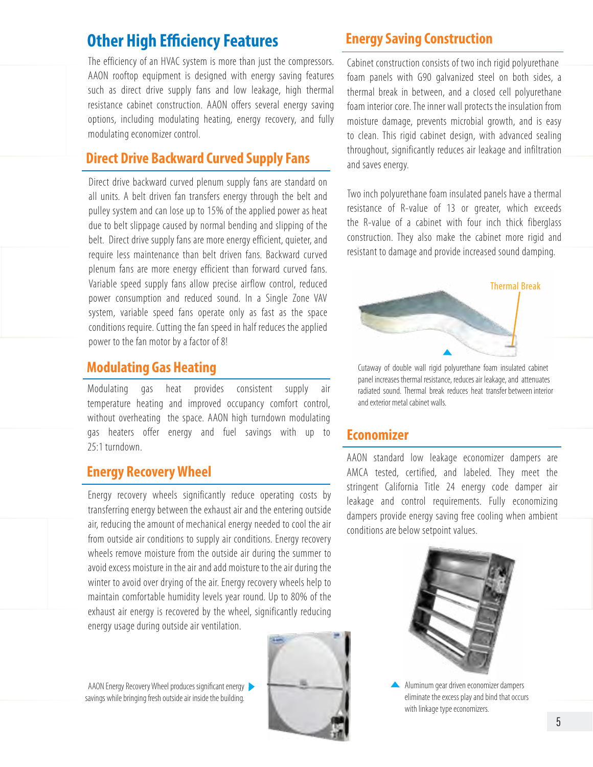### **Other High Efficiency Features Energy Saving Construction**

The efficiency of an HVAC system is more than just the compressors. AAON rooftop equipment is designed with energy saving features such as direct drive supply fans and low leakage, high thermal resistance cabinet construction. AAON offers several energy saving options, including modulating heating, energy recovery, and fully modulating economizer control.

### **Direct Drive Backward Curved Supply Fans**

Direct drive backward curved plenum supply fans are standard on all units. A belt driven fan transfers energy through the belt and pulley system and can lose up to 15% of the applied power as heat due to belt slippage caused by normal bending and slipping of the belt. Direct drive supply fans are more energy efficient, quieter, and require less maintenance than belt driven fans. Backward curved plenum fans are more energy efficient than forward curved fans. Variable speed supply fans allow precise airflow control, reduced power consumption and reduced sound. In a Single Zone VAV system, variable speed fans operate only as fast as the space conditions require. Cutting the fan speed in half reduces the applied power to the fan motor by a factor of 8!

Modulating gas heat provides consistent supply air temperature heating and improved occupancy comfort control, without overheating the space. AAON high turndown modulating gas heaters offer energy and fuel savings with up to 25:1 turndown.

### **Energy Recovery Wheel**

Energy recovery wheels significantly reduce operating costs by transferring energy between the exhaust air and the entering outside air, reducing the amount of mechanical energy needed to cool the air from outside air conditions to supply air conditions. Energy recovery wheels remove moisture from the outside air during the summer to avoid excess moisture in the air and add moisture to the air during the winter to avoid over drying of the air. Energy recovery wheels help to maintain comfortable humidity levels year round. Up to 80% of the exhaust air energy is recovered by the wheel, significantly reducing energy usage during outside air ventilation.

AAON Energy Recovery Wheel produces significant energy savings while bringing fresh outside air inside the building.



Cabinet construction consists of two inch rigid polyurethane foam panels with G90 galvanized steel on both sides, a thermal break in between, and a closed cell polyurethane foam interior core. The inner wall protects the insulation from moisture damage, prevents microbial growth, and is easy to clean. This rigid cabinet design, with advanced sealing throughout, significantly reduces air leakage and infiltration and saves energy.

Two inch polyurethane foam insulated panels have a thermal resistance of R-value of 13 or greater, which exceeds the R-value of a cabinet with four inch thick fiberglass construction. They also make the cabinet more rigid and resistant to damage and provide increased sound damping.



**Modulating Gas Heating** Cutaway of double wall rigid polyurethane foam insulated cabinet panel increases thermal resistance, reduces air leakage, and attenuates radiated sound. Thermal break reduces heat transfer between interior and exterior metal cabinet walls.

### **Economizer**

AAON standard low leakage economizer dampers are AMCA tested, certified, and labeled. They meet the stringent California Title 24 energy code damper air leakage and control requirements. Fully economizing dampers provide energy saving free cooling when ambient conditions are below setpoint values.



Aluminum gear driven economizer dampers eliminate the excess play and bind that occurs with linkage type economizers.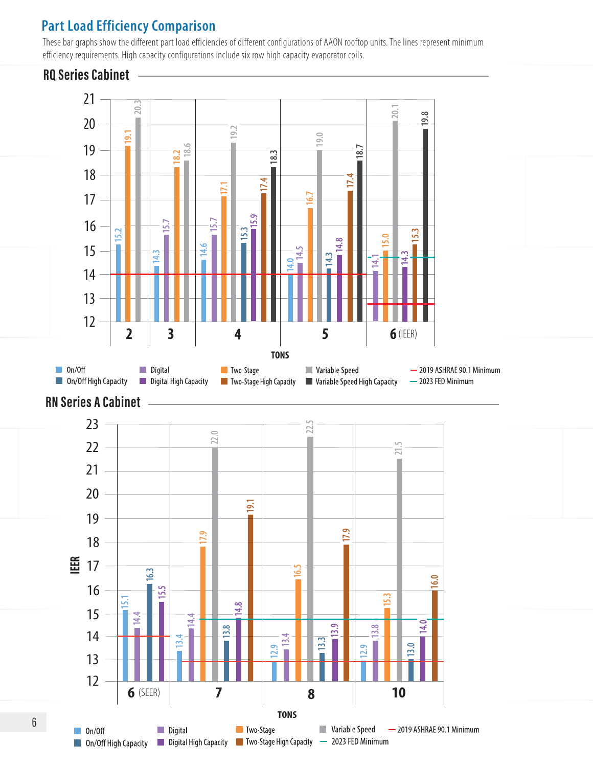### **Part Load Efficiency Comparison**

These bar graphs show the different part load efficiencies of different configurations of AAON rooftop units. The lines represent minimum efficiency requirements. High capacity configurations include six row high capacity evaporator coils.

### **RQ Series Cabinet**

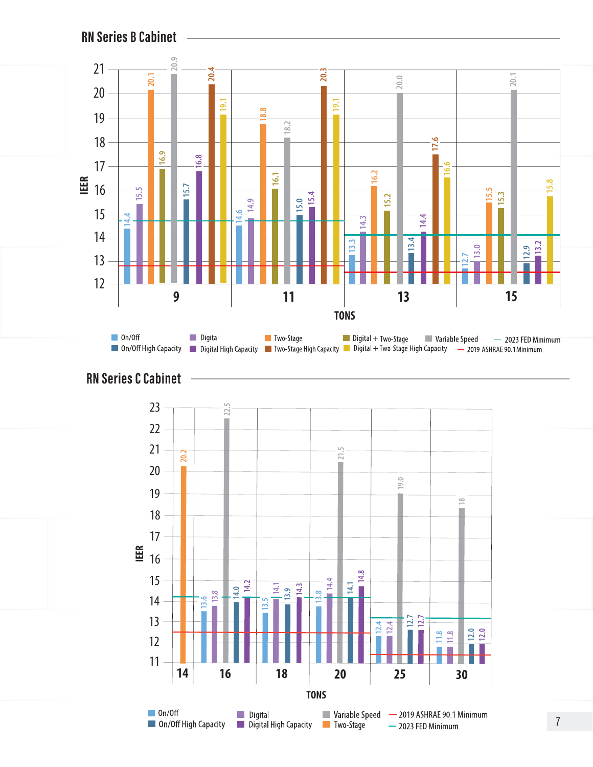

**RN Series C Cabinet**